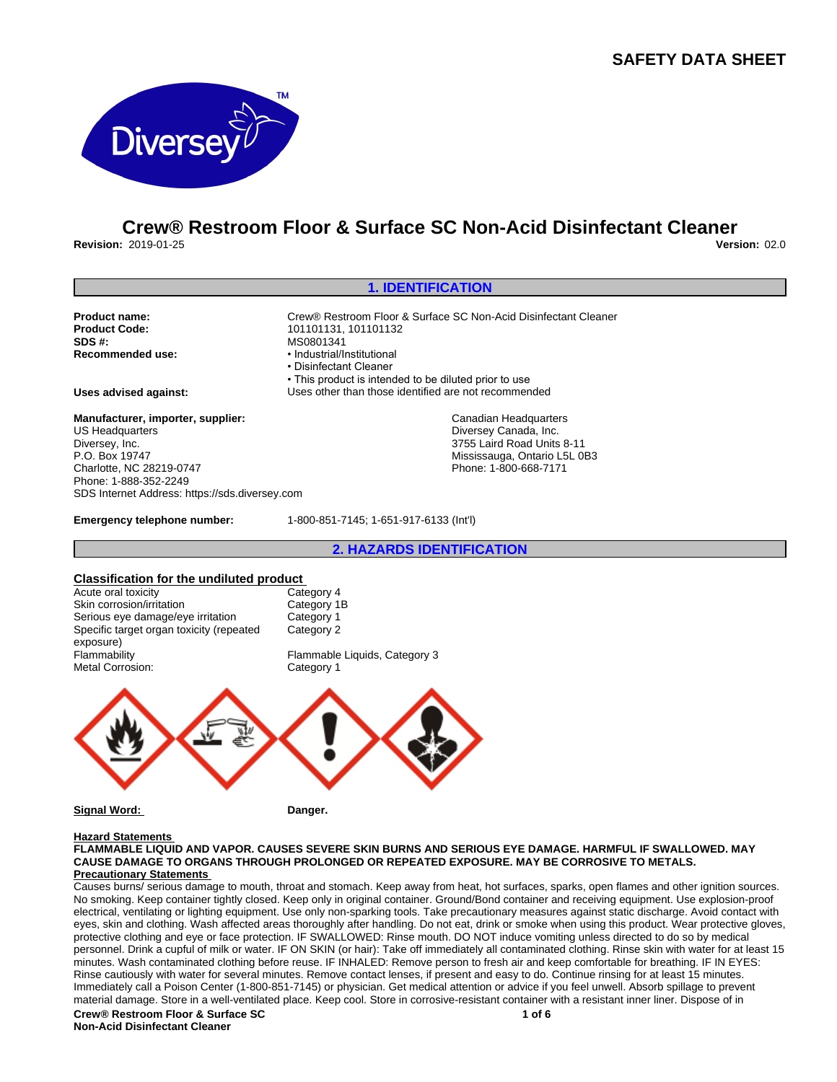## **SAFETY DATA SHEET**



# **Crew® Restroom Floor & Surface SC Non-Acid Disinfectant Cleaner**

**Revision:** 2019-01-25 **Version:** 02.0

#### **1. IDENTIFICATION Product name:** Crew® Restroom Floor & Surface SC Non-Acid Disinfectant Cleaner<br> **Product Code:** 101101131.101101132 **Product Code:** 101101131, 101101132<br> **SDS #:** MS0801341 **SDS #:** MS0801341<br> **Recommended use:** Mecommended use: • Industrial/Institutional • Disinfectant Cleaner • This product is intended to be diluted prior to use **Uses advised against:** Uses other than those identified are not recommended **Manufacturer, importer, supplier:** US Headquarters Diversey, Inc. P.O. Box 19747 Charlotte, NC 28219-0747 Phone: 1-888-352-2249 SDS Internet Address: https://sds.diversey.com Canadian Headquarters Diversey Canada, Inc. 3755 Laird Road Units 8-11 Mississauga, Ontario L5L 0B3 Phone: 1-800-668-7171

**Emergency telephone number:** 1-800-851-7145; 1-651-917-6133 (Int'l)

**2. HAZARDS IDENTIFICATION**

#### **Classification for the undiluted product** Category 4

| Acute oral toxicity                      | Category 4                    |
|------------------------------------------|-------------------------------|
| Skin corrosion/irritation                | Category 1B                   |
| Serious eye damage/eye irritation        | Category 1                    |
| Specific target organ toxicity (repeated | Category 2                    |
| exposure)                                |                               |
| Flammability                             | Flammable Liquids, Category 3 |
| <b>Metal Corrosion:</b>                  | Category 1                    |



**Signal Word:** Danger.

### **Hazard Statements**

**FLAMMABLE LIQUID AND VAPOR. CAUSES SEVERE SKIN BURNS AND SERIOUS EYE DAMAGE. HARMFUL IF SWALLOWED. MAY CAUSE DAMAGE TO ORGANS THROUGH PROLONGED OR REPEATED EXPOSURE. MAY BE CORROSIVE TO METALS. Precautionary Statements** 

Causes burns/ serious damage to mouth, throat and stomach. Keep away from heat, hot surfaces, sparks, open flames and other ignition sources. No smoking. Keep container tightly closed. Keep only in original container. Ground/Bond container and receiving equipment. Use explosion-proof electrical, ventilating or lighting equipment. Use only non-sparking tools. Take precautionary measures against static discharge. Avoid contact with eyes, skin and clothing. Wash affected areas thoroughly after handling. Do not eat, drink or smoke when using this product. Wear protective gloves, protective clothing and eye or face protection. IF SWALLOWED: Rinse mouth. DO NOT induce vomiting unless directed to do so by medical personnel. Drink a cupful of milk or water. IF ON SKIN (or hair): Take off immediately all contaminated clothing. Rinse skin with water for at least 15 minutes. Wash contaminated clothing before reuse. IF INHALED: Remove person to fresh air and keep comfortable for breathing. IF IN EYES: Rinse cautiously with water for several minutes. Remove contact lenses, if present and easy to do. Continue rinsing for at least 15 minutes. Immediately call a Poison Center (1-800-851-7145) or physician. Get medical attention or advice if you feel unwell. Absorb spillage to prevent material damage. Store in a well-ventilated place. Keep cool. Store in corrosive-resistant container with a resistant inner liner. Dispose of in **Crew® Restroom Floor & Surface SC 1 of 6**

**Non-Acid Disinfectant Cleaner**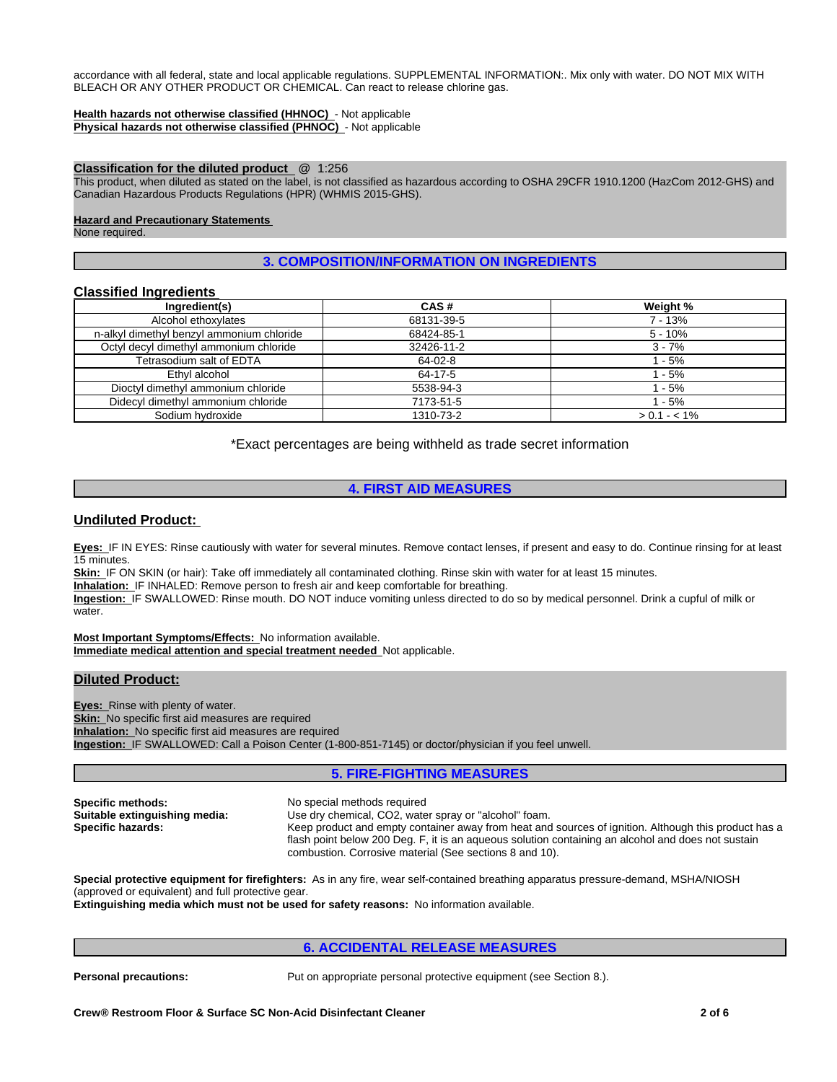accordance with all federal, state and local applicable regulations. SUPPLEMENTAL INFORMATION:. Mix only with water. DO NOT MIX WITH BLEACH OR ANY OTHER PRODUCT OR CHEMICAL. Can react to release chlorine gas.

#### **Health hazards not otherwise classified (HHNOC)** - Not applicable **Physical hazards not otherwise classified (PHNOC)** - Not applicable

## **Classification for the diluted product** @ 1:256

This product, when diluted as stated on the label, is not classified as hazardous according to OSHA 29CFR 1910.1200 (HazCom 2012-GHS) and Canadian Hazardous Products Regulations (HPR) (WHMIS 2015-GHS).

#### **Hazard and Precautionary Statements**

None required.

## **3. COMPOSITION/INFORMATION ON INGREDIENTS**

## **Classified Ingredients**

| Ingredient(s)                             | CAS#       | Weight %      |
|-------------------------------------------|------------|---------------|
| Alcohol ethoxylates                       | 68131-39-5 | 7 - 13%       |
| n-alkyl dimethyl benzyl ammonium chloride | 68424-85-1 | $5 - 10%$     |
| Octyl decyl dimethyl ammonium chloride    | 32426-11-2 | $3 - 7%$      |
| Tetrasodium salt of EDTA                  | 64-02-8    | 1 - 5%        |
| Ethyl alcohol                             | 64-17-5    | $1 - 5%$      |
| Dioctyl dimethyl ammonium chloride        | 5538-94-3  | 1 - 5%        |
| Didecyl dimethyl ammonium chloride        | 7173-51-5  | 1 - 5%        |
| Sodium hydroxide                          | 1310-73-2  | $> 0.1 - 1\%$ |

\*Exact percentages are being withheld as trade secret information

## **4. FIRST AID MEASURES**

## **Undiluted Product:**

**Eyes:** IF IN EYES: Rinse cautiously with water for several minutes. Remove contact lenses, if present and easy to do. Continue rinsing for at least 15 minutes.

**Skin:** IF ON SKIN (or hair): Take off immediately all contaminated clothing. Rinse skin with water for at least 15 minutes. **Inhalation:** IF INHALED: Remove person to fresh air and keep comfortable for breathing.

**Ingestion:** IF SWALLOWED: Rinse mouth. DO NOT induce vomiting unless directed to do so by medical personnel. Drink a cupful of milk or water

**Most Important Symptoms/Effects:** No information available. **Immediate medical attention and special treatment needed** Not applicable.

## **Diluted Product:**

**Eyes:** Rinse with plenty of water. **Skin:** No specific first aid measures are required **Inhalation:** No specific first aid measures are required **Ingestion:** IF SWALLOWED: Call a Poison Center (1-800-851-7145) or doctor/physician if you feel unwell.

## **5. FIRE-FIGHTING MEASURES**

**Specific methods:** No special methods required<br> **Suitable extinguishing media:** Use dry chemical, CO2, wate **Suitable extinguishing media:** Use dry chemical, CO2, water spray or "alcohol" foam.<br>**Specific hazards:** Keep product and empty container away from heat and **Specific hazards:** Keep product and empty container away from heat and sources of ignition. Although this product has a flash point below 200 Deg. F, it is an aqueous solution containing an alcohol and does not sustain combustion. Corrosive material (See sections 8 and 10).

**Special protective equipment for firefighters:** As in any fire, wear self-contained breathing apparatus pressure-demand, MSHA/NIOSH (approved or equivalent) and full protective gear.

**Extinguishing media which must not be used for safety reasons:** No information available.

## **6. ACCIDENTAL RELEASE MEASURES**

**Personal precautions:** Put on appropriate personal protective equipment (see Section 8.).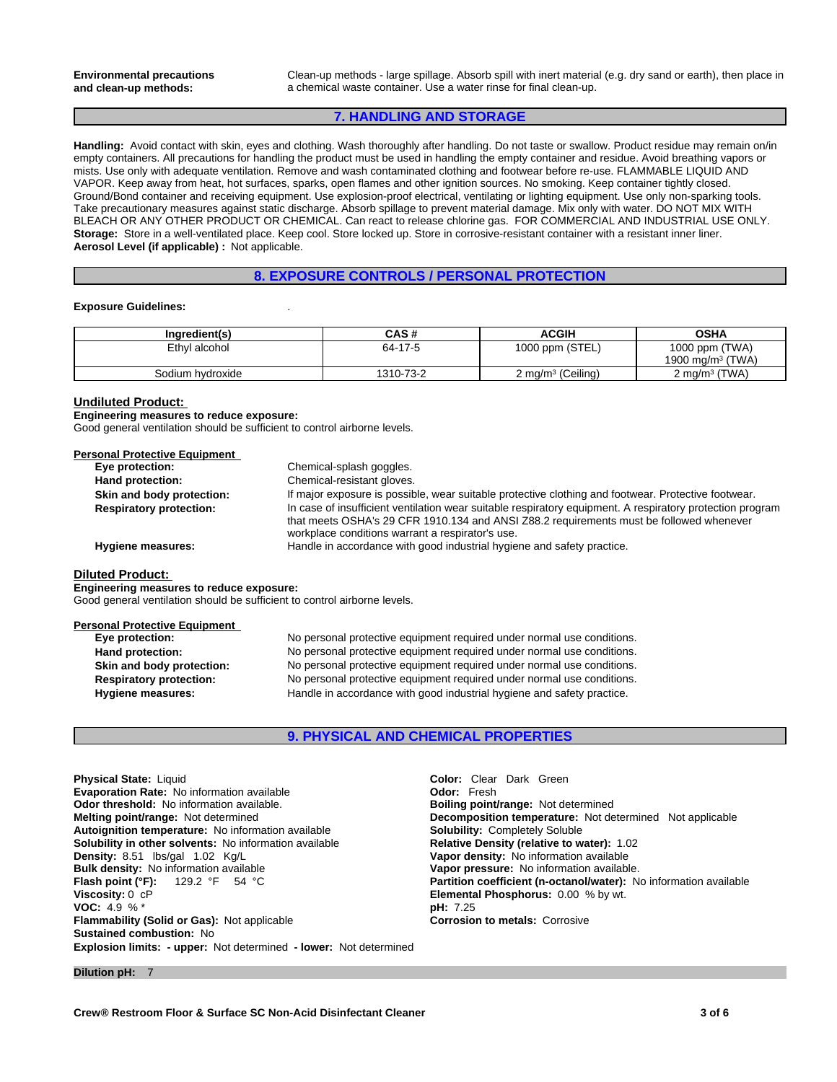Clean-up methods - large spillage. Absorb spill with inert material (e.g. dry sand or earth), then place in a chemical waste container. Use a water rinse for final clean-up.

## **7. HANDLING AND STORAGE**

**Handling:** Avoid contact with skin, eyes and clothing. Wash thoroughly after handling. Do not taste or swallow. Product residue may remain on/in empty containers. All precautions for handling the product must be used in handling the empty container and residue. Avoid breathing vapors or mists. Use only with adequate ventilation. Remove and wash contaminated clothing and footwear before re-use. FLAMMABLE LIQUID AND VAPOR. Keep away from heat, hot surfaces, sparks, open flames and other ignition sources. No smoking. Keep container tightly closed. Ground/Bond container and receiving equipment. Use explosion-proof electrical, ventilating or lighting equipment. Use only non-sparking tools. Take precautionary measures against static discharge. Absorb spillage to prevent material damage. Mix only with water. DO NOT MIX WITH BLEACH OR ANY OTHER PRODUCT OR CHEMICAL. Can react to release chlorine gas. FOR COMMERCIAL AND INDUSTRIAL USE ONLY. **Storage:** Store in a well-ventilated place. Keep cool. Store locked up. Store in corrosive-resistant container with a resistant inner liner. **Aerosol Level (if applicable) :** Not applicable.

## **8. EXPOSURE CONTROLS / PERSONAL PROTECTION**

#### **Exposure Guidelines:** .

| Ingredient(s)    | CAS #     | <b>ACGIH</b>         | <b>OSHA</b>                  |
|------------------|-----------|----------------------|------------------------------|
| Ethvl alcohol    | 64-17-5   | 1000 ppm (STEL)      | 1000 ppm (TWA)               |
|                  |           |                      | 1900 mg/m <sup>3</sup> (TWA) |
| Sodium hydroxide | 1310-73-2 | 2 mg/m $3$ (Ceiling) | 2 mg/m $3$ (TWA)             |

#### **Undiluted Product:**

**Engineering measures to reduce exposure:** Good general ventilation should be sufficient to control airborne levels.

#### **Personal Protective Equipment**

| Eye protection:                | Chemical-splash goggles.                                                                                                                                                                                                                                 |
|--------------------------------|----------------------------------------------------------------------------------------------------------------------------------------------------------------------------------------------------------------------------------------------------------|
| Hand protection:               | Chemical-resistant gloves.                                                                                                                                                                                                                               |
| Skin and body protection:      | If major exposure is possible, wear suitable protective clothing and footwear. Protective footwear.                                                                                                                                                      |
| <b>Respiratory protection:</b> | In case of insufficient ventilation wear suitable respiratory equipment. A respiratory protection program<br>that meets OSHA's 29 CFR 1910.134 and ANSI Z88.2 requirements must be followed whenever<br>workplace conditions warrant a respirator's use. |
| Hygiene measures:              | Handle in accordance with good industrial hygiene and safety practice.                                                                                                                                                                                   |
| Diluted Product:               |                                                                                                                                                                                                                                                          |
|                                |                                                                                                                                                                                                                                                          |

**Engineering measures to reduce exposure:**

Good general ventilation should be sufficient to control airborne levels.

#### **Personal Protective Equipment**

| Eye protection:                | No personal protective equipment required under normal use conditions. |
|--------------------------------|------------------------------------------------------------------------|
| Hand protection:               | No personal protective equipment required under normal use conditions. |
| Skin and body protection:      | No personal protective equipment required under normal use conditions. |
| <b>Respiratory protection:</b> | No personal protective equipment required under normal use conditions. |
| Hygiene measures:              | Handle in accordance with good industrial hygiene and safety practice. |

## **9. PHYSICAL AND CHEMICAL PROPERTIES**

**Explosion limits: - upper:** Not determined **- lower:** Not determined **Physical State:** Liquid **Color:** Clear Dark Green **Evaporation Rate:** No information available **Configuration in Solution Codor:** Fresh **Odor:** Fresh **Odor: Not** determined **Odor: Configuration Odor: Configuration available. Our determined Configuration and Di Odor threshold: No information available. Melting point/range: Not determined Autoignition temperature:** No information available **Solubility:** Completely Soluble **Solubility in other solvents: No information available Density: 8.51 lbs/gal 1.02 Kg/L Bulk density:** No information available **Vapor pressure:** No information available.<br> **Flash point (°F):** 129.2 °F 54 °C **CONTEN EXECUTE:** Partition coefficient (n-octanol/water): N **Flash point (°F):** 129.2 °F 54 °C **Partition coefficient (n-octanol/water):** No information available Viscosity: 0 cP<br> **Partition coefficient (n-octanol/water):** No information available **VOC: 4.9 % \* Flammability (Solid or Gas):** Not applicable **Corrosion to metals:** Corrosive **Sustained combustion:** No

**Decomposition temperature:** Not determined Not applicable **Vapor density:** No information available **Elemental Phosphorus:** 0.00 % by wt.<br>**pH:** 7.25

**Dilution pH:** 7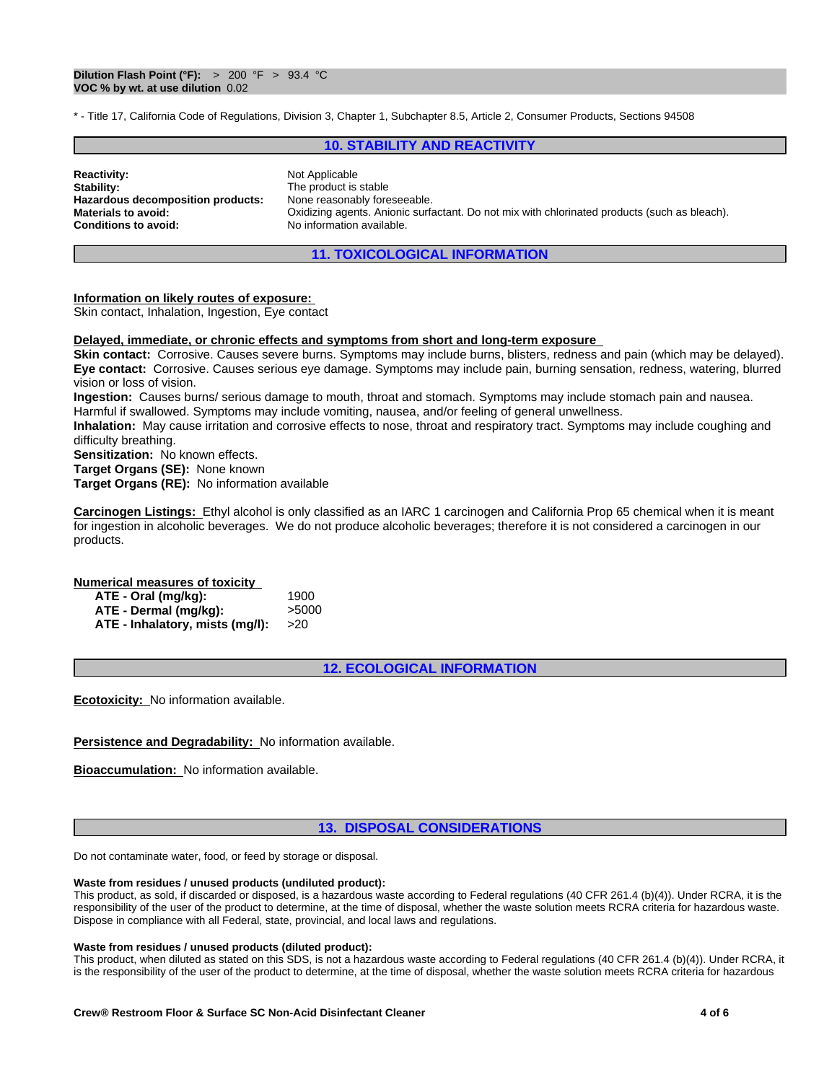\* - Title 17, California Code of Regulations, Division 3, Chapter 1, Subchapter 8.5, Article 2, Consumer Products, Sections 94508

## **10. STABILITY AND REACTIVITY**

| <b>Reactivity:</b><br>Stability:<br>Hazardous decomposition products:<br><b>Materials to avoid:</b><br><b>Conditions to avoid:</b> | Not Applicable<br>The product is stable<br>None reasonably foreseeable.<br>Oxidizing agents. Anionic surfactant. Do not mix with chlorinated products (such as bleach).<br>No information available. |  |
|------------------------------------------------------------------------------------------------------------------------------------|------------------------------------------------------------------------------------------------------------------------------------------------------------------------------------------------------|--|
|------------------------------------------------------------------------------------------------------------------------------------|------------------------------------------------------------------------------------------------------------------------------------------------------------------------------------------------------|--|

## **11. TOXICOLOGICAL INFORMATION**

#### **Information on likely routes of exposure:**

Skin contact, Inhalation, Ingestion, Eye contact

#### **Delayed, immediate, or chronic effects and symptoms from short and long-term exposure**

**Skin contact:** Corrosive. Causes severe burns. Symptoms may include burns, blisters, redness and pain (which may be delayed). **Eye contact:** Corrosive. Causes serious eye damage. Symptoms may include pain, burning sensation, redness, watering, blurred vision or loss of vision.

**Ingestion:** Causes burns/ serious damage to mouth, throat and stomach. Symptoms may include stomach pain and nausea. Harmful if swallowed. Symptoms may include vomiting, nausea, and/or feeling of general unwellness.

**Inhalation:** May cause irritation and corrosive effects to nose, throat and respiratory tract. Symptoms may include coughing and difficulty breathing.

**Sensitization:** No known effects.

**Target Organs (SE):** None known

**Target Organs (RE):** No information available

**Carcinogen Listings:** Ethyl alcohol is only classified as an IARC 1 carcinogen and California Prop 65 chemical when it is meant for ingestion in alcoholic beverages. We do not produce alcoholic beverages; therefore it is not considered a carcinogen in our products.

#### **Numerical measures of toxicity**

| ATE - Oral (mg/kg):             | 1900  |
|---------------------------------|-------|
| ATE - Dermal (mg/kg):           | >5000 |
| ATE - Inhalatory, mists (mg/l): | >20   |

**12. ECOLOGICAL INFORMATION**

**Ecotoxicity:** No information available.

#### **Persistence and Degradability:** No information available.

**Bioaccumulation:** No information available.

## **13. DISPOSAL CONSIDERATIONS**

Do not contaminate water, food, or feed by storage or disposal.

#### **Waste from residues / unused products (undiluted product):**

This product, as sold, if discarded or disposed, is a hazardous waste according to Federal regulations (40 CFR 261.4 (b)(4)). Under RCRA, it is the responsibility of the user of the product to determine, at the time of disposal, whether the waste solution meets RCRA criteria for hazardous waste. Dispose in compliance with all Federal, state, provincial, and local laws and regulations.

## **Waste from residues / unused products (diluted product):**

This product, when diluted as stated on this SDS, is not a hazardous waste according to Federal regulations (40 CFR 261.4 (b)(4)). Under RCRA, it is the responsibility of the user of the product to determine, at the time of disposal, whether the waste solution meets RCRA criteria for hazardous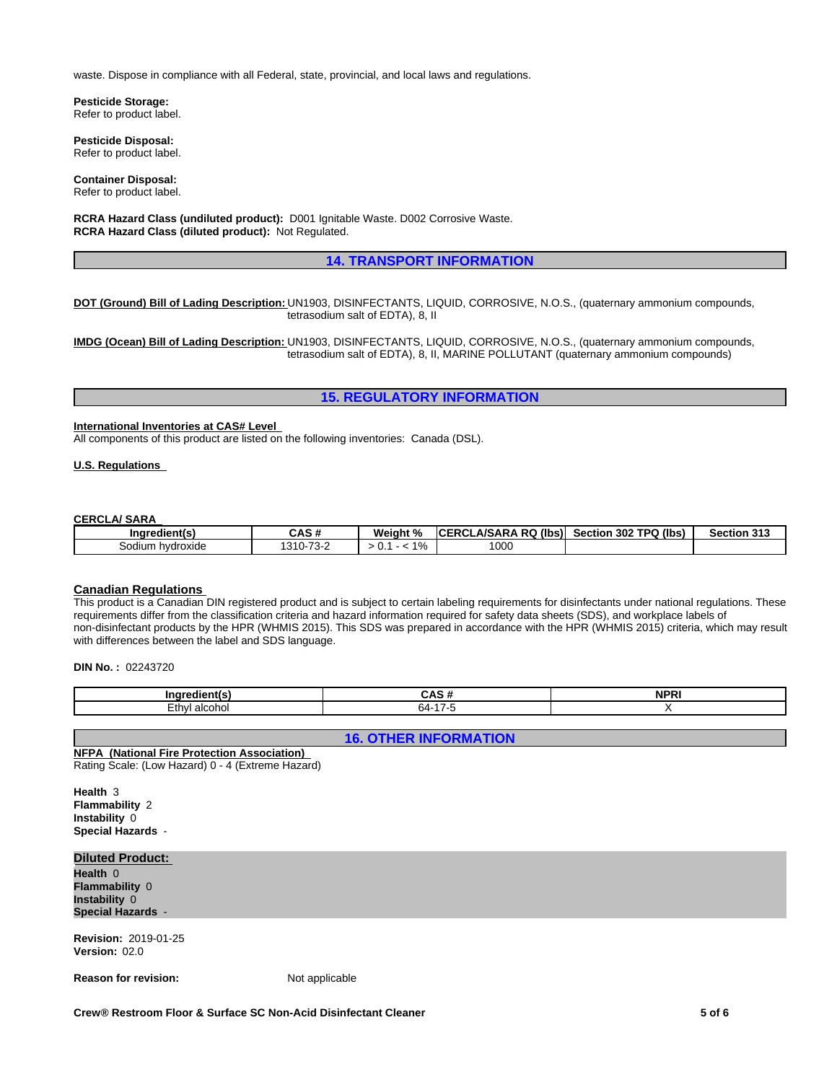waste. Dispose in compliance with all Federal, state, provincial, and local laws and regulations.

**Pesticide Storage:** Refer to product label.

**Pesticide Disposal:** Refer to product label.

**Container Disposal:** Refer to product label.

**RCRA Hazard Class (undiluted product):** D001 Ignitable Waste. D002 Corrosive Waste. **RCRA Hazard Class (diluted product):** Not Regulated.

### **14. TRANSPORT INFORMATION**

**DOT (Ground) Bill of Lading Description:** UN1903, DISINFECTANTS, LIQUID, CORROSIVE, N.O.S., (quaternary ammonium compounds, tetrasodium salt of EDTA), 8, II

**IMDG (Ocean) Bill of Lading Description:** UN1903, DISINFECTANTS, LIQUID, CORROSIVE, N.O.S., (quaternary ammonium compounds, tetrasodium salt of EDTA), 8, II, MARINE POLLUTANT (quaternary ammonium compounds)

## **15. REGULATORY INFORMATION**

## **International Inventories at CAS# Level**

All components of this product are listed on the following inventories: Canada (DSL).

## **U.S. Regulations**

#### **CERCLA/ SARA**

| .<br>Ingredient(s)            | $\sim$ . $\sim$<br>'N<br>UAJ #             | Weiaht<br>ιn.           | (lbs)<br><b>_A/SARA RQ</b><br>$P^{\prime}$<br>- 00'<br>ື | 302 TPQ (lbs)<br>Section | <b>Section 313</b> |
|-------------------------------|--------------------------------------------|-------------------------|----------------------------------------------------------|--------------------------|--------------------|
| ∶odi<br>i hvdroxide<br>Sodium | $\overline{\phantom{a}}$<br>1310-<br>- 13- | 101<br>-<br>. 70<br>ັບ. | 1000                                                     |                          |                    |

#### **Canadian Regulations**

This product is a Canadian DIN registered product and is subject to certain labeling requirements for disinfectants under national regulations. These requirements differ from the classification criteria and hazard information required for safety data sheets (SDS), and workplace labels of non-disinfectant products by the HPR (WHMIS 2015). This SDS was prepared in accordance with the HPR (WHMIS 2015) criteria, which may result with differences between the label and SDS language.

**DIN No. :** 02243720

| . .                            | $\sim$ | 'N<br>. |
|--------------------------------|--------|---------|
| thw.<br><u>ימורי</u><br>— U 11 | - בר   |         |

**16. OTHER INFORMATION**

#### **NFPA (National Fire Protection Association)**  Rating Scale: (Low Hazard) 0 - 4 (Extreme Hazard)

**Health** 3 **Flammability** 2 **Instability** 0 **Special Hazards** -

## **Diluted Product:**

**Health** 0 **Flammability** 0 **Instability** 0 **Special Hazards** -

**Revision:** 2019-01-25 **Version:** 02.0

**Reason for revision:** Not applicable